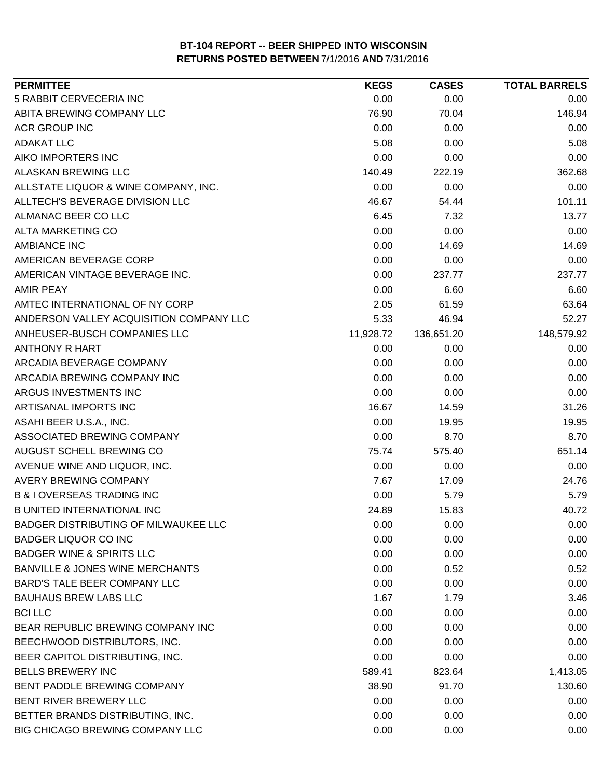| <b>PERMITTEE</b>                           | <b>KEGS</b> | <b>CASES</b> | <b>TOTAL BARRELS</b> |
|--------------------------------------------|-------------|--------------|----------------------|
| 5 RABBIT CERVECERIA INC                    | 0.00        | 0.00         | 0.00                 |
| ABITA BREWING COMPANY LLC                  | 76.90       | 70.04        | 146.94               |
| <b>ACR GROUP INC</b>                       | 0.00        | 0.00         | 0.00                 |
| <b>ADAKAT LLC</b>                          | 5.08        | 0.00         | 5.08                 |
| AIKO IMPORTERS INC                         | 0.00        | 0.00         | 0.00                 |
| <b>ALASKAN BREWING LLC</b>                 | 140.49      | 222.19       | 362.68               |
| ALLSTATE LIQUOR & WINE COMPANY, INC.       | 0.00        | 0.00         | 0.00                 |
| ALLTECH'S BEVERAGE DIVISION LLC            | 46.67       | 54.44        | 101.11               |
| ALMANAC BEER CO LLC                        | 6.45        | 7.32         | 13.77                |
| <b>ALTA MARKETING CO</b>                   | 0.00        | 0.00         | 0.00                 |
| <b>AMBIANCE INC</b>                        | 0.00        | 14.69        | 14.69                |
| AMERICAN BEVERAGE CORP                     | 0.00        | 0.00         | 0.00                 |
| AMERICAN VINTAGE BEVERAGE INC.             | 0.00        | 237.77       | 237.77               |
| <b>AMIR PEAY</b>                           | 0.00        | 6.60         | 6.60                 |
| AMTEC INTERNATIONAL OF NY CORP             | 2.05        | 61.59        | 63.64                |
| ANDERSON VALLEY ACQUISITION COMPANY LLC    | 5.33        | 46.94        | 52.27                |
| ANHEUSER-BUSCH COMPANIES LLC               | 11,928.72   | 136,651.20   | 148,579.92           |
| ANTHONY R HART                             | 0.00        | 0.00         | 0.00                 |
| ARCADIA BEVERAGE COMPANY                   | 0.00        | 0.00         | 0.00                 |
| ARCADIA BREWING COMPANY INC                | 0.00        | 0.00         | 0.00                 |
| ARGUS INVESTMENTS INC                      | 0.00        | 0.00         | 0.00                 |
| ARTISANAL IMPORTS INC                      | 16.67       | 14.59        | 31.26                |
| ASAHI BEER U.S.A., INC.                    | 0.00        | 19.95        | 19.95                |
| ASSOCIATED BREWING COMPANY                 | 0.00        | 8.70         | 8.70                 |
| AUGUST SCHELL BREWING CO                   | 75.74       | 575.40       | 651.14               |
| AVENUE WINE AND LIQUOR, INC.               | 0.00        | 0.00         | 0.00                 |
| <b>AVERY BREWING COMPANY</b>               | 7.67        | 17.09        | 24.76                |
| <b>B &amp; I OVERSEAS TRADING INC</b>      | 0.00        | 5.79         | 5.79                 |
| <b>B UNITED INTERNATIONAL INC</b>          | 24.89       | 15.83        | 40.72                |
| BADGER DISTRIBUTING OF MILWAUKEE LLC       | 0.00        | 0.00         | 0.00                 |
| <b>BADGER LIQUOR CO INC</b>                | 0.00        | 0.00         | 0.00                 |
| <b>BADGER WINE &amp; SPIRITS LLC</b>       | 0.00        | 0.00         | 0.00                 |
| <b>BANVILLE &amp; JONES WINE MERCHANTS</b> | 0.00        | 0.52         | 0.52                 |
| BARD'S TALE BEER COMPANY LLC               | 0.00        | 0.00         | 0.00                 |
| <b>BAUHAUS BREW LABS LLC</b>               | 1.67        | 1.79         | 3.46                 |
| <b>BCI LLC</b>                             | 0.00        | 0.00         | 0.00                 |
| BEAR REPUBLIC BREWING COMPANY INC          | 0.00        | 0.00         | 0.00                 |
| BEECHWOOD DISTRIBUTORS, INC.               | 0.00        | 0.00         | 0.00                 |
| BEER CAPITOL DISTRIBUTING, INC.            | 0.00        | 0.00         | 0.00                 |
| <b>BELLS BREWERY INC</b>                   | 589.41      | 823.64       | 1,413.05             |
| BENT PADDLE BREWING COMPANY                | 38.90       | 91.70        | 130.60               |
| BENT RIVER BREWERY LLC                     | 0.00        | 0.00         | 0.00                 |
| BETTER BRANDS DISTRIBUTING, INC.           | 0.00        | 0.00         | 0.00                 |
| BIG CHICAGO BREWING COMPANY LLC            | 0.00        | 0.00         | 0.00                 |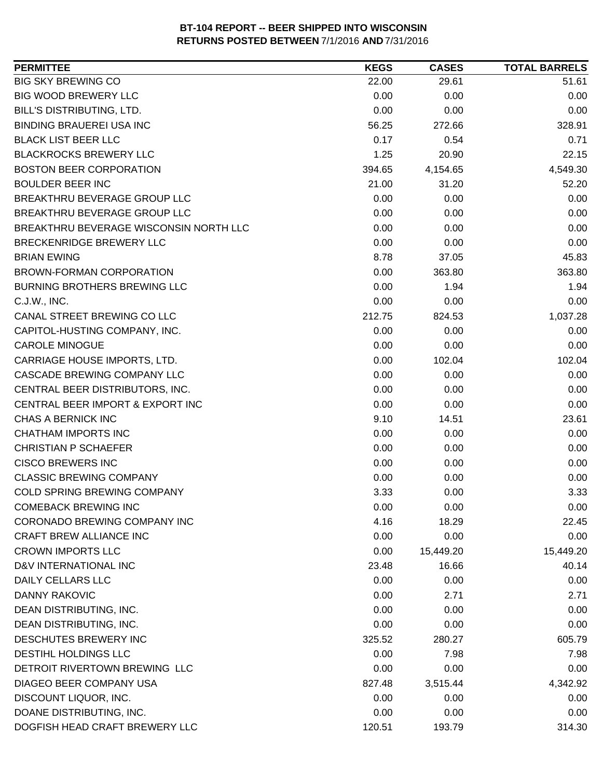| <b>PERMITTEE</b>                       | <b>KEGS</b> | <b>CASES</b> | <b>TOTAL BARRELS</b> |
|----------------------------------------|-------------|--------------|----------------------|
| <b>BIG SKY BREWING CO</b>              | 22.00       | 29.61        | 51.61                |
| <b>BIG WOOD BREWERY LLC</b>            | 0.00        | 0.00         | 0.00                 |
| BILL'S DISTRIBUTING, LTD.              | 0.00        | 0.00         | 0.00                 |
| <b>BINDING BRAUEREI USA INC</b>        | 56.25       | 272.66       | 328.91               |
| <b>BLACK LIST BEER LLC</b>             | 0.17        | 0.54         | 0.71                 |
| <b>BLACKROCKS BREWERY LLC</b>          | 1.25        | 20.90        | 22.15                |
| <b>BOSTON BEER CORPORATION</b>         | 394.65      | 4,154.65     | 4,549.30             |
| <b>BOULDER BEER INC</b>                | 21.00       | 31.20        | 52.20                |
| BREAKTHRU BEVERAGE GROUP LLC           | 0.00        | 0.00         | 0.00                 |
| BREAKTHRU BEVERAGE GROUP LLC           | 0.00        | 0.00         | 0.00                 |
| BREAKTHRU BEVERAGE WISCONSIN NORTH LLC | 0.00        | 0.00         | 0.00                 |
| <b>BRECKENRIDGE BREWERY LLC</b>        | 0.00        | 0.00         | 0.00                 |
| <b>BRIAN EWING</b>                     | 8.78        | 37.05        | 45.83                |
| <b>BROWN-FORMAN CORPORATION</b>        | 0.00        | 363.80       | 363.80               |
| <b>BURNING BROTHERS BREWING LLC</b>    | 0.00        | 1.94         | 1.94                 |
| C.J.W., INC.                           | 0.00        | 0.00         | 0.00                 |
| CANAL STREET BREWING CO LLC            | 212.75      | 824.53       | 1,037.28             |
| CAPITOL-HUSTING COMPANY, INC.          | 0.00        | 0.00         | 0.00                 |
| <b>CAROLE MINOGUE</b>                  | 0.00        | 0.00         | 0.00                 |
| CARRIAGE HOUSE IMPORTS, LTD.           | 0.00        | 102.04       | 102.04               |
| CASCADE BREWING COMPANY LLC            | 0.00        | 0.00         | 0.00                 |
| CENTRAL BEER DISTRIBUTORS, INC.        | 0.00        | 0.00         | 0.00                 |
| CENTRAL BEER IMPORT & EXPORT INC       | 0.00        | 0.00         | 0.00                 |
| CHAS A BERNICK INC                     | 9.10        | 14.51        | 23.61                |
| <b>CHATHAM IMPORTS INC</b>             | 0.00        | 0.00         | 0.00                 |
| <b>CHRISTIAN P SCHAEFER</b>            | 0.00        | 0.00         | 0.00                 |
| <b>CISCO BREWERS INC</b>               | 0.00        | 0.00         | 0.00                 |
| <b>CLASSIC BREWING COMPANY</b>         | 0.00        | 0.00         | 0.00                 |
| <b>COLD SPRING BREWING COMPANY</b>     | 3.33        | 0.00         | 3.33                 |
| <b>COMEBACK BREWING INC</b>            | 0.00        | 0.00         | 0.00                 |
| CORONADO BREWING COMPANY INC           | 4.16        | 18.29        | 22.45                |
| <b>CRAFT BREW ALLIANCE INC</b>         | 0.00        | 0.00         | 0.00                 |
| <b>CROWN IMPORTS LLC</b>               | 0.00        | 15,449.20    | 15,449.20            |
| D&V INTERNATIONAL INC                  | 23.48       | 16.66        | 40.14                |
| DAILY CELLARS LLC                      | 0.00        | 0.00         | 0.00                 |
| DANNY RAKOVIC                          | 0.00        | 2.71         | 2.71                 |
| DEAN DISTRIBUTING, INC.                | 0.00        | 0.00         | 0.00                 |
| DEAN DISTRIBUTING, INC.                | 0.00        | 0.00         | 0.00                 |
| DESCHUTES BREWERY INC                  | 325.52      | 280.27       | 605.79               |
| DESTIHL HOLDINGS LLC                   | 0.00        | 7.98         | 7.98                 |
| DETROIT RIVERTOWN BREWING LLC          | 0.00        | 0.00         | 0.00                 |
| DIAGEO BEER COMPANY USA                | 827.48      | 3,515.44     | 4,342.92             |
| DISCOUNT LIQUOR, INC.                  | 0.00        | 0.00         | 0.00                 |
| DOANE DISTRIBUTING, INC.               | 0.00        | 0.00         | 0.00                 |
| DOGFISH HEAD CRAFT BREWERY LLC         | 120.51      | 193.79       | 314.30               |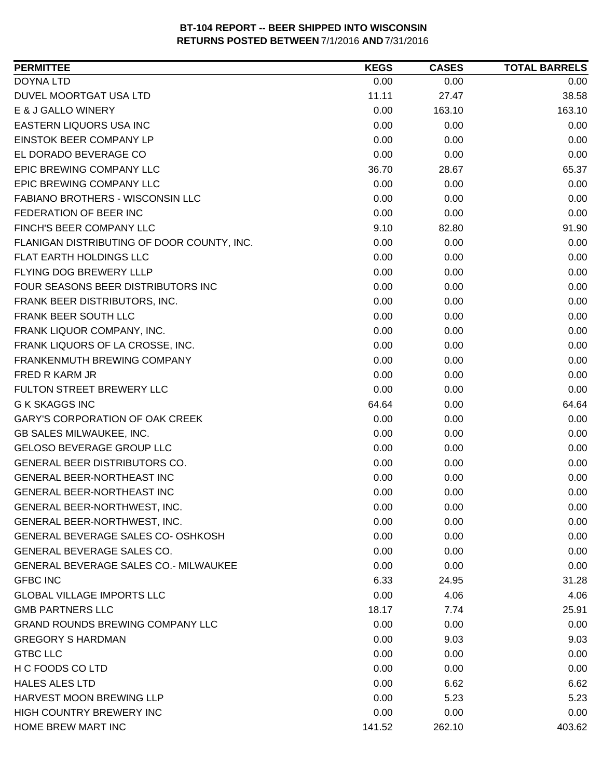| <b>PERMITTEE</b>                             | <b>KEGS</b> | <b>CASES</b> | <b>TOTAL BARRELS</b> |
|----------------------------------------------|-------------|--------------|----------------------|
| <b>DOYNA LTD</b>                             | 0.00        | 0.00         | 0.00                 |
| DUVEL MOORTGAT USA LTD                       | 11.11       | 27.47        | 38.58                |
| E & J GALLO WINERY                           | 0.00        | 163.10       | 163.10               |
| EASTERN LIQUORS USA INC                      | 0.00        | 0.00         | 0.00                 |
| EINSTOK BEER COMPANY LP                      | 0.00        | 0.00         | 0.00                 |
| EL DORADO BEVERAGE CO                        | 0.00        | 0.00         | 0.00                 |
| EPIC BREWING COMPANY LLC                     | 36.70       | 28.67        | 65.37                |
| EPIC BREWING COMPANY LLC                     | 0.00        | 0.00         | 0.00                 |
| FABIANO BROTHERS - WISCONSIN LLC             | 0.00        | 0.00         | 0.00                 |
| FEDERATION OF BEER INC                       | 0.00        | 0.00         | 0.00                 |
| FINCH'S BEER COMPANY LLC                     | 9.10        | 82.80        | 91.90                |
| FLANIGAN DISTRIBUTING OF DOOR COUNTY, INC.   | 0.00        | 0.00         | 0.00                 |
| <b>FLAT EARTH HOLDINGS LLC</b>               | 0.00        | 0.00         | 0.00                 |
| FLYING DOG BREWERY LLLP                      | 0.00        | 0.00         | 0.00                 |
| FOUR SEASONS BEER DISTRIBUTORS INC           | 0.00        | 0.00         | 0.00                 |
| FRANK BEER DISTRIBUTORS, INC.                | 0.00        | 0.00         | 0.00                 |
| FRANK BEER SOUTH LLC                         | 0.00        | 0.00         | 0.00                 |
| FRANK LIQUOR COMPANY, INC.                   | 0.00        | 0.00         | 0.00                 |
| FRANK LIQUORS OF LA CROSSE, INC.             | 0.00        | 0.00         | 0.00                 |
| FRANKENMUTH BREWING COMPANY                  | 0.00        | 0.00         | 0.00                 |
| FRED R KARM JR                               | 0.00        | 0.00         | 0.00                 |
| FULTON STREET BREWERY LLC                    | 0.00        | 0.00         | 0.00                 |
| <b>G K SKAGGS INC</b>                        | 64.64       | 0.00         | 64.64                |
| <b>GARY'S CORPORATION OF OAK CREEK</b>       | 0.00        | 0.00         | 0.00                 |
| GB SALES MILWAUKEE, INC.                     | 0.00        | 0.00         | 0.00                 |
| GELOSO BEVERAGE GROUP LLC                    | 0.00        | 0.00         | 0.00                 |
| GENERAL BEER DISTRIBUTORS CO.                | 0.00        | 0.00         | 0.00                 |
| GENERAL BEER-NORTHEAST INC                   | 0.00        | 0.00         | 0.00                 |
| GENERAL BEER-NORTHEAST INC                   | 0.00        | 0.00         | 0.00                 |
| GENERAL BEER-NORTHWEST, INC.                 | 0.00        | 0.00         | 0.00                 |
| GENERAL BEER-NORTHWEST, INC.                 | 0.00        | 0.00         | 0.00                 |
| GENERAL BEVERAGE SALES CO- OSHKOSH           | 0.00        | 0.00         | 0.00                 |
| GENERAL BEVERAGE SALES CO.                   | 0.00        | 0.00         | 0.00                 |
| <b>GENERAL BEVERAGE SALES CO.- MILWAUKEE</b> | 0.00        | 0.00         | 0.00                 |
| <b>GFBC INC</b>                              | 6.33        | 24.95        | 31.28                |
| <b>GLOBAL VILLAGE IMPORTS LLC</b>            | 0.00        | 4.06         | 4.06                 |
| <b>GMB PARTNERS LLC</b>                      | 18.17       | 7.74         | 25.91                |
| <b>GRAND ROUNDS BREWING COMPANY LLC</b>      | 0.00        | 0.00         | 0.00                 |
| <b>GREGORY S HARDMAN</b>                     | 0.00        | 9.03         | 9.03                 |
| <b>GTBC LLC</b>                              | 0.00        | 0.00         | 0.00                 |
| H C FOODS CO LTD                             | 0.00        | 0.00         | 0.00                 |
| <b>HALES ALES LTD</b>                        | 0.00        | 6.62         | 6.62                 |
| HARVEST MOON BREWING LLP                     | 0.00        | 5.23         | 5.23                 |
| HIGH COUNTRY BREWERY INC                     | 0.00        | 0.00         | 0.00                 |
| HOME BREW MART INC                           | 141.52      | 262.10       | 403.62               |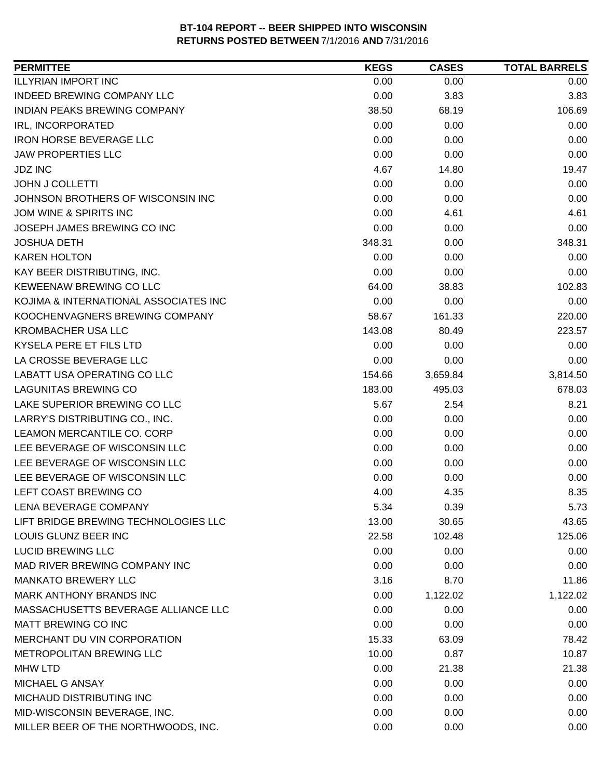| <b>PERMITTEE</b>                      | <b>KEGS</b> | <b>CASES</b> | <b>TOTAL BARRELS</b> |
|---------------------------------------|-------------|--------------|----------------------|
| <b>ILLYRIAN IMPORT INC</b>            | 0.00        | 0.00         | 0.00                 |
| INDEED BREWING COMPANY LLC            | 0.00        | 3.83         | 3.83                 |
| INDIAN PEAKS BREWING COMPANY          | 38.50       | 68.19        | 106.69               |
| <b>IRL, INCORPORATED</b>              | 0.00        | 0.00         | 0.00                 |
| <b>IRON HORSE BEVERAGE LLC</b>        | 0.00        | 0.00         | 0.00                 |
| <b>JAW PROPERTIES LLC</b>             | 0.00        | 0.00         | 0.00                 |
| <b>JDZ INC</b>                        | 4.67        | 14.80        | 19.47                |
| <b>JOHN J COLLETTI</b>                | 0.00        | 0.00         | 0.00                 |
| JOHNSON BROTHERS OF WISCONSIN INC     | 0.00        | 0.00         | 0.00                 |
| JOM WINE & SPIRITS INC                | 0.00        | 4.61         | 4.61                 |
| JOSEPH JAMES BREWING CO INC           | 0.00        | 0.00         | 0.00                 |
| <b>JOSHUA DETH</b>                    | 348.31      | 0.00         | 348.31               |
| <b>KAREN HOLTON</b>                   | 0.00        | 0.00         | 0.00                 |
| KAY BEER DISTRIBUTING, INC.           | 0.00        | 0.00         | 0.00                 |
| KEWEENAW BREWING CO LLC               | 64.00       | 38.83        | 102.83               |
| KOJIMA & INTERNATIONAL ASSOCIATES INC | 0.00        | 0.00         | 0.00                 |
| KOOCHENVAGNERS BREWING COMPANY        | 58.67       | 161.33       | 220.00               |
| <b>KROMBACHER USA LLC</b>             | 143.08      | 80.49        | 223.57               |
| KYSELA PERE ET FILS LTD               | 0.00        | 0.00         | 0.00                 |
| LA CROSSE BEVERAGE LLC                | 0.00        | 0.00         | 0.00                 |
| LABATT USA OPERATING CO LLC           | 154.66      | 3,659.84     | 3,814.50             |
| <b>LAGUNITAS BREWING CO</b>           | 183.00      | 495.03       | 678.03               |
| LAKE SUPERIOR BREWING CO LLC          | 5.67        | 2.54         | 8.21                 |
| LARRY'S DISTRIBUTING CO., INC.        | 0.00        | 0.00         | 0.00                 |
| LEAMON MERCANTILE CO. CORP            | 0.00        | 0.00         | 0.00                 |
| LEE BEVERAGE OF WISCONSIN LLC         | 0.00        | 0.00         | 0.00                 |
| LEE BEVERAGE OF WISCONSIN LLC         | 0.00        | 0.00         | 0.00                 |
| LEE BEVERAGE OF WISCONSIN LLC         | 0.00        | 0.00         | 0.00                 |
| LEFT COAST BREWING CO                 | 4.00        | 4.35         | 8.35                 |
| LENA BEVERAGE COMPANY                 | 5.34        | 0.39         | 5.73                 |
| LIFT BRIDGE BREWING TECHNOLOGIES LLC  | 13.00       | 30.65        | 43.65                |
| LOUIS GLUNZ BEER INC                  | 22.58       | 102.48       | 125.06               |
| <b>LUCID BREWING LLC</b>              | 0.00        | 0.00         | 0.00                 |
| MAD RIVER BREWING COMPANY INC         | 0.00        | 0.00         | 0.00                 |
| <b>MANKATO BREWERY LLC</b>            | 3.16        | 8.70         | 11.86                |
| MARK ANTHONY BRANDS INC               | 0.00        | 1,122.02     | 1,122.02             |
| MASSACHUSETTS BEVERAGE ALLIANCE LLC   | 0.00        | 0.00         | 0.00                 |
| MATT BREWING CO INC                   | 0.00        | 0.00         | 0.00                 |
| MERCHANT DU VIN CORPORATION           | 15.33       | 63.09        | 78.42                |
| METROPOLITAN BREWING LLC              | 10.00       | 0.87         | 10.87                |
| <b>MHW LTD</b>                        | 0.00        | 21.38        | 21.38                |
| MICHAEL G ANSAY                       | 0.00        | 0.00         | 0.00                 |
| MICHAUD DISTRIBUTING INC              | 0.00        | 0.00         | 0.00                 |
| MID-WISCONSIN BEVERAGE, INC.          | 0.00        | 0.00         | 0.00                 |
| MILLER BEER OF THE NORTHWOODS, INC.   | 0.00        | 0.00         | 0.00                 |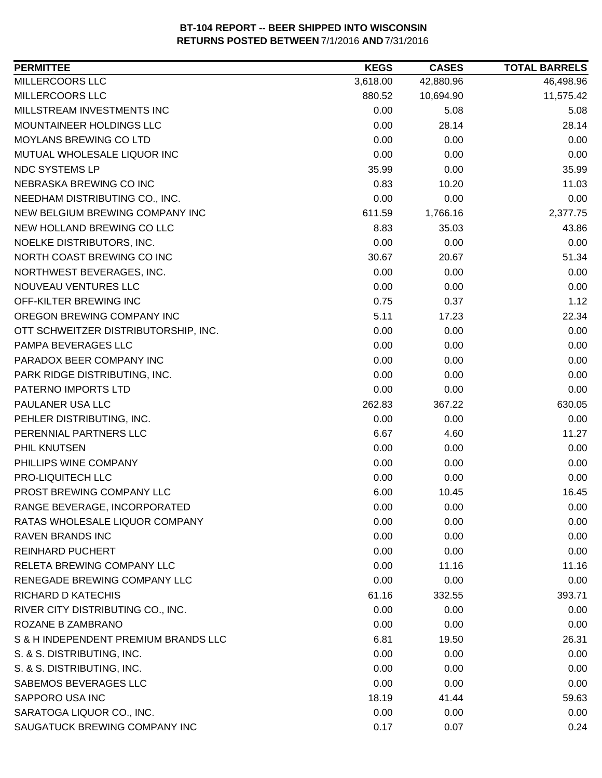| <b>PERMITTEE</b>                     | <b>KEGS</b> | <b>CASES</b> | <b>TOTAL BARRELS</b> |
|--------------------------------------|-------------|--------------|----------------------|
| MILLERCOORS LLC                      | 3,618.00    | 42,880.96    | 46,498.96            |
| MILLERCOORS LLC                      | 880.52      | 10,694.90    | 11,575.42            |
| MILLSTREAM INVESTMENTS INC           | 0.00        | 5.08         | 5.08                 |
| MOUNTAINEER HOLDINGS LLC             | 0.00        | 28.14        | 28.14                |
| MOYLANS BREWING CO LTD               | 0.00        | 0.00         | 0.00                 |
| MUTUAL WHOLESALE LIQUOR INC          | 0.00        | 0.00         | 0.00                 |
| NDC SYSTEMS LP                       | 35.99       | 0.00         | 35.99                |
| NEBRASKA BREWING CO INC              | 0.83        | 10.20        | 11.03                |
| NEEDHAM DISTRIBUTING CO., INC.       | 0.00        | 0.00         | 0.00                 |
| NEW BELGIUM BREWING COMPANY INC      | 611.59      | 1,766.16     | 2,377.75             |
| NEW HOLLAND BREWING CO LLC           | 8.83        | 35.03        | 43.86                |
| NOELKE DISTRIBUTORS, INC.            | 0.00        | 0.00         | 0.00                 |
| NORTH COAST BREWING CO INC           | 30.67       | 20.67        | 51.34                |
| NORTHWEST BEVERAGES, INC.            | 0.00        | 0.00         | 0.00                 |
| NOUVEAU VENTURES LLC                 | 0.00        | 0.00         | 0.00                 |
| OFF-KILTER BREWING INC               | 0.75        | 0.37         | 1.12                 |
| OREGON BREWING COMPANY INC           | 5.11        | 17.23        | 22.34                |
| OTT SCHWEITZER DISTRIBUTORSHIP, INC. | 0.00        | 0.00         | 0.00                 |
| PAMPA BEVERAGES LLC                  | 0.00        | 0.00         | 0.00                 |
| PARADOX BEER COMPANY INC             | 0.00        | 0.00         | 0.00                 |
| PARK RIDGE DISTRIBUTING, INC.        | 0.00        | 0.00         | 0.00                 |
| PATERNO IMPORTS LTD                  | 0.00        | 0.00         | 0.00                 |
| PAULANER USA LLC                     | 262.83      | 367.22       | 630.05               |
| PEHLER DISTRIBUTING, INC.            | 0.00        | 0.00         | 0.00                 |
| PERENNIAL PARTNERS LLC               | 6.67        | 4.60         | 11.27                |
| PHIL KNUTSEN                         | 0.00        | 0.00         | 0.00                 |
| PHILLIPS WINE COMPANY                | 0.00        | 0.00         | 0.00                 |
| PRO-LIQUITECH LLC                    | 0.00        | 0.00         | 0.00                 |
| PROST BREWING COMPANY LLC            | 6.00        | 10.45        | 16.45                |
| RANGE BEVERAGE, INCORPORATED         | 0.00        | 0.00         | 0.00                 |
| RATAS WHOLESALE LIQUOR COMPANY       | 0.00        | 0.00         | 0.00                 |
| <b>RAVEN BRANDS INC</b>              | 0.00        | 0.00         | 0.00                 |
| <b>REINHARD PUCHERT</b>              | 0.00        | 0.00         | 0.00                 |
| RELETA BREWING COMPANY LLC           | 0.00        | 11.16        | 11.16                |
| RENEGADE BREWING COMPANY LLC         | 0.00        | 0.00         | 0.00                 |
| <b>RICHARD D KATECHIS</b>            | 61.16       | 332.55       | 393.71               |
| RIVER CITY DISTRIBUTING CO., INC.    | 0.00        | 0.00         | 0.00                 |
| ROZANE B ZAMBRANO                    | 0.00        | 0.00         | 0.00                 |
| S & H INDEPENDENT PREMIUM BRANDS LLC | 6.81        | 19.50        | 26.31                |
| S. & S. DISTRIBUTING, INC.           | 0.00        | 0.00         | 0.00                 |
| S. & S. DISTRIBUTING, INC.           | 0.00        | 0.00         | 0.00                 |
| SABEMOS BEVERAGES LLC                | 0.00        | 0.00         | 0.00                 |
| SAPPORO USA INC                      | 18.19       | 41.44        | 59.63                |
| SARATOGA LIQUOR CO., INC.            | 0.00        | 0.00         | 0.00                 |
| SAUGATUCK BREWING COMPANY INC        | 0.17        | 0.07         | 0.24                 |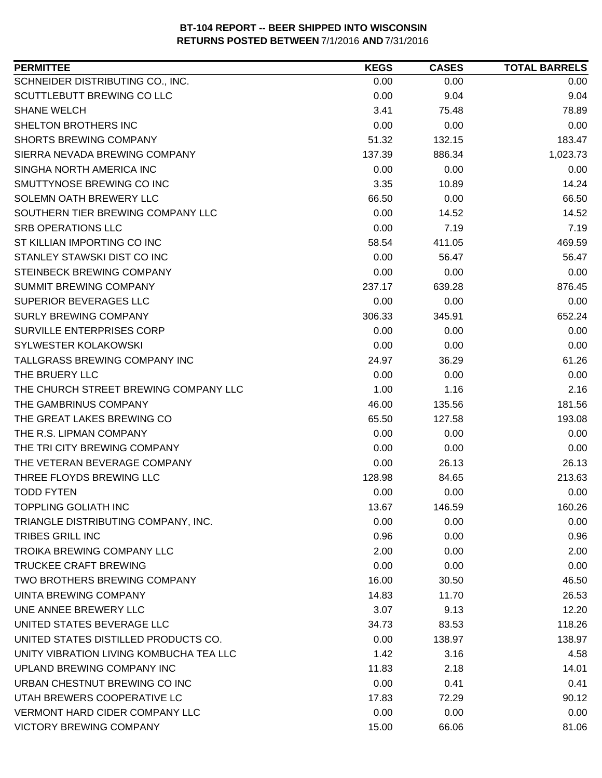| <b>PERMITTEE</b>                        | <b>KEGS</b> | <b>CASES</b> | <b>TOTAL BARRELS</b> |
|-----------------------------------------|-------------|--------------|----------------------|
| SCHNEIDER DISTRIBUTING CO., INC.        | 0.00        | 0.00         | 0.00                 |
| SCUTTLEBUTT BREWING CO LLC              | 0.00        | 9.04         | 9.04                 |
| <b>SHANE WELCH</b>                      | 3.41        | 75.48        | 78.89                |
| SHELTON BROTHERS INC                    | 0.00        | 0.00         | 0.00                 |
| <b>SHORTS BREWING COMPANY</b>           | 51.32       | 132.15       | 183.47               |
| SIERRA NEVADA BREWING COMPANY           | 137.39      | 886.34       | 1,023.73             |
| SINGHA NORTH AMERICA INC                | 0.00        | 0.00         | 0.00                 |
| SMUTTYNOSE BREWING CO INC               | 3.35        | 10.89        | 14.24                |
| SOLEMN OATH BREWERY LLC                 | 66.50       | 0.00         | 66.50                |
| SOUTHERN TIER BREWING COMPANY LLC       | 0.00        | 14.52        | 14.52                |
| <b>SRB OPERATIONS LLC</b>               | 0.00        | 7.19         | 7.19                 |
| ST KILLIAN IMPORTING CO INC             | 58.54       | 411.05       | 469.59               |
| STANLEY STAWSKI DIST CO INC             | 0.00        | 56.47        | 56.47                |
| STEINBECK BREWING COMPANY               | 0.00        | 0.00         | 0.00                 |
| SUMMIT BREWING COMPANY                  | 237.17      | 639.28       | 876.45               |
| SUPERIOR BEVERAGES LLC                  | 0.00        | 0.00         | 0.00                 |
| <b>SURLY BREWING COMPANY</b>            | 306.33      | 345.91       | 652.24               |
| SURVILLE ENTERPRISES CORP               | 0.00        | 0.00         | 0.00                 |
| SYLWESTER KOLAKOWSKI                    | 0.00        | 0.00         | 0.00                 |
| TALLGRASS BREWING COMPANY INC           | 24.97       | 36.29        | 61.26                |
| THE BRUERY LLC                          | 0.00        | 0.00         | 0.00                 |
| THE CHURCH STREET BREWING COMPANY LLC   | 1.00        | 1.16         | 2.16                 |
| THE GAMBRINUS COMPANY                   | 46.00       | 135.56       | 181.56               |
| THE GREAT LAKES BREWING CO              | 65.50       | 127.58       | 193.08               |
| THE R.S. LIPMAN COMPANY                 | 0.00        | 0.00         | 0.00                 |
| THE TRI CITY BREWING COMPANY            | 0.00        | 0.00         | 0.00                 |
| THE VETERAN BEVERAGE COMPANY            | 0.00        | 26.13        | 26.13                |
| THREE FLOYDS BREWING LLC                | 128.98      | 84.65        | 213.63               |
| <b>TODD FYTEN</b>                       | 0.00        | 0.00         | 0.00                 |
| <b>TOPPLING GOLIATH INC</b>             | 13.67       | 146.59       | 160.26               |
| TRIANGLE DISTRIBUTING COMPANY, INC.     | 0.00        | 0.00         | 0.00                 |
| <b>TRIBES GRILL INC</b>                 | 0.96        | 0.00         | 0.96                 |
| TROIKA BREWING COMPANY LLC              | 2.00        | 0.00         | 2.00                 |
| TRUCKEE CRAFT BREWING                   | 0.00        | 0.00         | 0.00                 |
| TWO BROTHERS BREWING COMPANY            | 16.00       | 30.50        | 46.50                |
| UINTA BREWING COMPANY                   | 14.83       | 11.70        | 26.53                |
| UNE ANNEE BREWERY LLC                   | 3.07        | 9.13         | 12.20                |
| UNITED STATES BEVERAGE LLC              | 34.73       | 83.53        | 118.26               |
| UNITED STATES DISTILLED PRODUCTS CO.    | 0.00        | 138.97       | 138.97               |
| UNITY VIBRATION LIVING KOMBUCHA TEA LLC | 1.42        | 3.16         | 4.58                 |
| UPLAND BREWING COMPANY INC              | 11.83       | 2.18         | 14.01                |
| URBAN CHESTNUT BREWING CO INC           | 0.00        | 0.41         | 0.41                 |
| UTAH BREWERS COOPERATIVE LC             | 17.83       | 72.29        | 90.12                |
| <b>VERMONT HARD CIDER COMPANY LLC</b>   | 0.00        | 0.00         | 0.00                 |
| <b>VICTORY BREWING COMPANY</b>          | 15.00       | 66.06        | 81.06                |